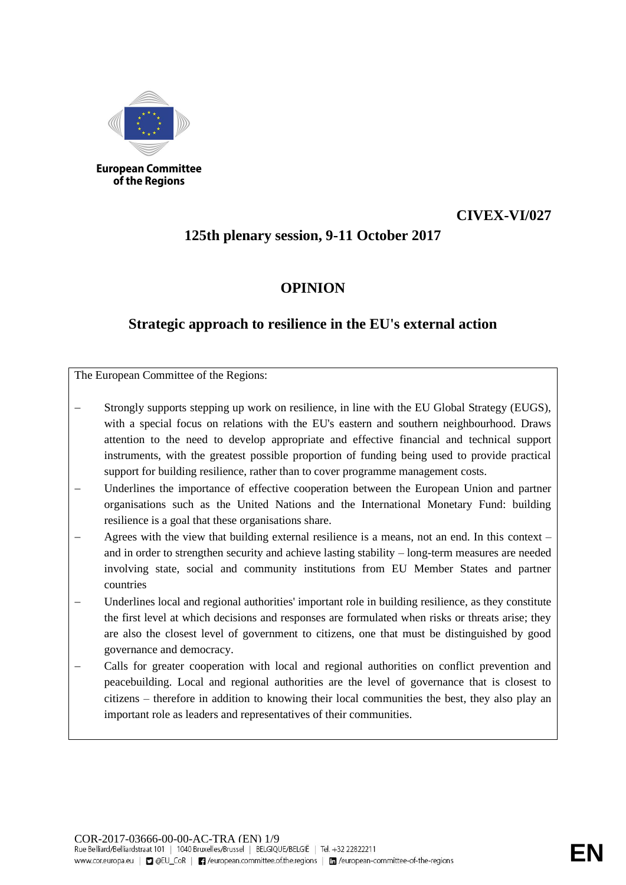

#### **European Committee** of the Regions

# **CIVEX-VI/027**

# **125th plenary session, 9-11 October 2017**

### **OPINION**

# **Strategic approach to resilience in the EU's external action**

The European Committee of the Regions:

- Strongly supports stepping up work on resilience, in line with the EU Global Strategy (EUGS), with a special focus on relations with the EU's eastern and southern neighbourhood. Draws attention to the need to develop appropriate and effective financial and technical support instruments, with the greatest possible proportion of funding being used to provide practical support for building resilience, rather than to cover programme management costs.
- Underlines the importance of effective cooperation between the European Union and partner organisations such as the United Nations and the International Monetary Fund: building resilience is a goal that these organisations share.
- Agrees with the view that building external resilience is a means, not an end. In this context and in order to strengthen security and achieve lasting stability – long-term measures are needed involving state, social and community institutions from EU Member States and partner countries
- Underlines local and regional authorities' important role in building resilience, as they constitute the first level at which decisions and responses are formulated when risks or threats arise; they are also the closest level of government to citizens, one that must be distinguished by good governance and democracy.
- − Calls for greater cooperation with local and regional authorities on conflict prevention and peacebuilding. Local and regional authorities are the level of governance that is closest to citizens – therefore in addition to knowing their local communities the best, they also play an important role as leaders and representatives of their communities.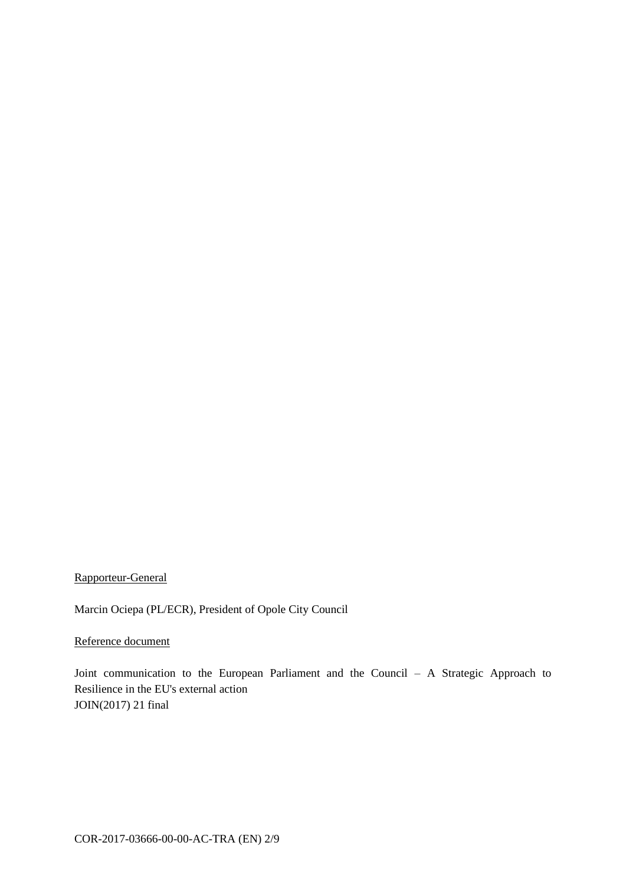Rapporteur-General

Marcin Ociepa (PL/ECR), President of Opole City Council

Reference document

Joint communication to the European Parliament and the Council – A Strategic Approach to Resilience in the EU's external action JOIN(2017) 21 final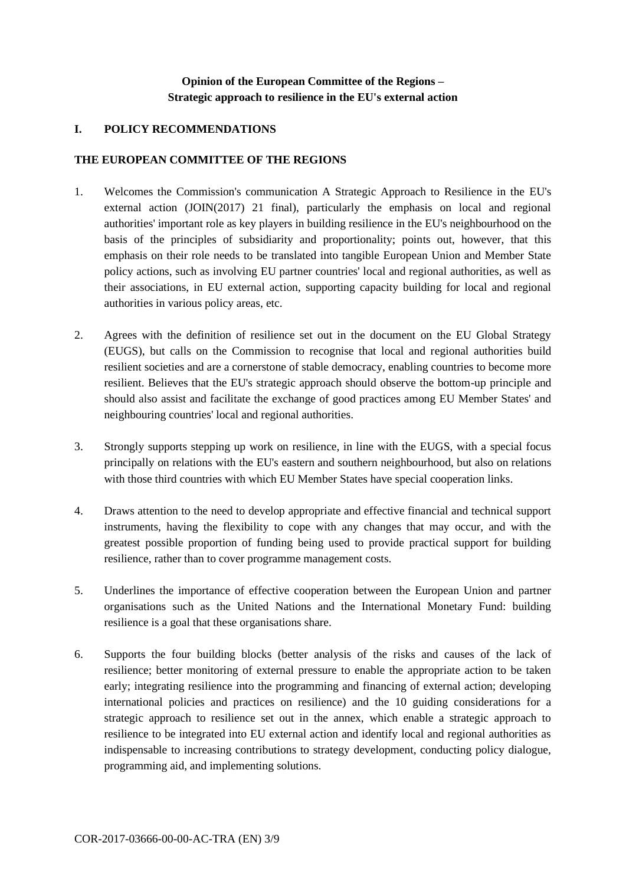### **Opinion of the European Committee of the Regions – Strategic approach to resilience in the EU's external action**

#### **I. POLICY RECOMMENDATIONS**

#### **THE EUROPEAN COMMITTEE OF THE REGIONS**

- 1. Welcomes the Commission's communication A Strategic Approach to Resilience in the EU's external action (JOIN(2017) 21 final), particularly the emphasis on local and regional authorities' important role as key players in building resilience in the EU's neighbourhood on the basis of the principles of subsidiarity and proportionality; points out, however, that this emphasis on their role needs to be translated into tangible European Union and Member State policy actions, such as involving EU partner countries' local and regional authorities, as well as their associations, in EU external action, supporting capacity building for local and regional authorities in various policy areas, etc.
- 2. Agrees with the definition of resilience set out in the document on the EU Global Strategy (EUGS), but calls on the Commission to recognise that local and regional authorities build resilient societies and are a cornerstone of stable democracy, enabling countries to become more resilient. Believes that the EU's strategic approach should observe the bottom-up principle and should also assist and facilitate the exchange of good practices among EU Member States' and neighbouring countries' local and regional authorities.
- 3. Strongly supports stepping up work on resilience, in line with the EUGS, with a special focus principally on relations with the EU's eastern and southern neighbourhood, but also on relations with those third countries with which EU Member States have special cooperation links.
- 4. Draws attention to the need to develop appropriate and effective financial and technical support instruments, having the flexibility to cope with any changes that may occur, and with the greatest possible proportion of funding being used to provide practical support for building resilience, rather than to cover programme management costs.
- 5. Underlines the importance of effective cooperation between the European Union and partner organisations such as the United Nations and the International Monetary Fund: building resilience is a goal that these organisations share.
- 6. Supports the four building blocks (better analysis of the risks and causes of the lack of resilience; better monitoring of external pressure to enable the appropriate action to be taken early; integrating resilience into the programming and financing of external action; developing international policies and practices on resilience) and the 10 guiding considerations for a strategic approach to resilience set out in the annex, which enable a strategic approach to resilience to be integrated into EU external action and identify local and regional authorities as indispensable to increasing contributions to strategy development, conducting policy dialogue, programming aid, and implementing solutions.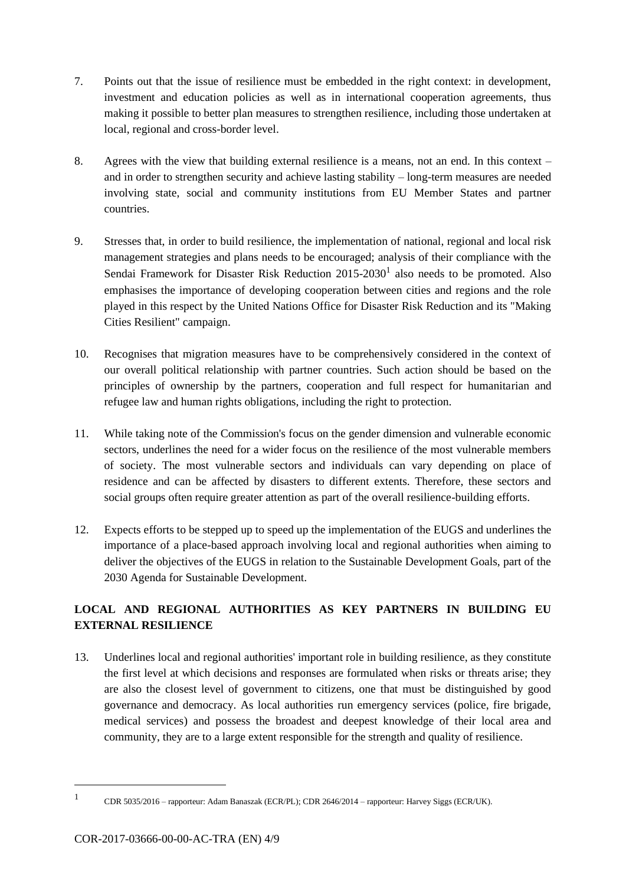- 7. Points out that the issue of resilience must be embedded in the right context: in development, investment and education policies as well as in international cooperation agreements, thus making it possible to better plan measures to strengthen resilience, including those undertaken at local, regional and cross-border level.
- 8. Agrees with the view that building external resilience is a means, not an end. In this context and in order to strengthen security and achieve lasting stability – long-term measures are needed involving state, social and community institutions from EU Member States and partner countries.
- 9. Stresses that, in order to build resilience, the implementation of national, regional and local risk management strategies and plans needs to be encouraged; analysis of their compliance with the Sendai Framework for Disaster Risk Reduction  $2015{\text -}2030^1$  also needs to be promoted. Also emphasises the importance of developing cooperation between cities and regions and the role played in this respect by the United Nations Office for Disaster Risk Reduction and its "Making Cities Resilient" campaign.
- 10. Recognises that migration measures have to be comprehensively considered in the context of our overall political relationship with partner countries. Such action should be based on the principles of ownership by the partners, cooperation and full respect for humanitarian and refugee law and human rights obligations, including the right to protection.
- 11. While taking note of the Commission's focus on the gender dimension and vulnerable economic sectors, underlines the need for a wider focus on the resilience of the most vulnerable members of society. The most vulnerable sectors and individuals can vary depending on place of residence and can be affected by disasters to different extents. Therefore, these sectors and social groups often require greater attention as part of the overall resilience-building efforts.
- 12. Expects efforts to be stepped up to speed up the implementation of the EUGS and underlines the importance of a place-based approach involving local and regional authorities when aiming to deliver the objectives of the EUGS in relation to the Sustainable Development Goals, part of the 2030 Agenda for Sustainable Development.

### **LOCAL AND REGIONAL AUTHORITIES AS KEY PARTNERS IN BUILDING EU EXTERNAL RESILIENCE**

13. Underlines local and regional authorities' important role in building resilience, as they constitute the first level at which decisions and responses are formulated when risks or threats arise; they are also the closest level of government to citizens, one that must be distinguished by good governance and democracy. As local authorities run emergency services (police, fire brigade, medical services) and possess the broadest and deepest knowledge of their local area and community, they are to a large extent responsible for the strength and quality of resilience.

<sup>1</sup> CDR 5035/2016 – rapporteur: Adam Banaszak (ECR/PL); CDR 2646/2014 – rapporteur: Harvey Siggs (ECR/UK).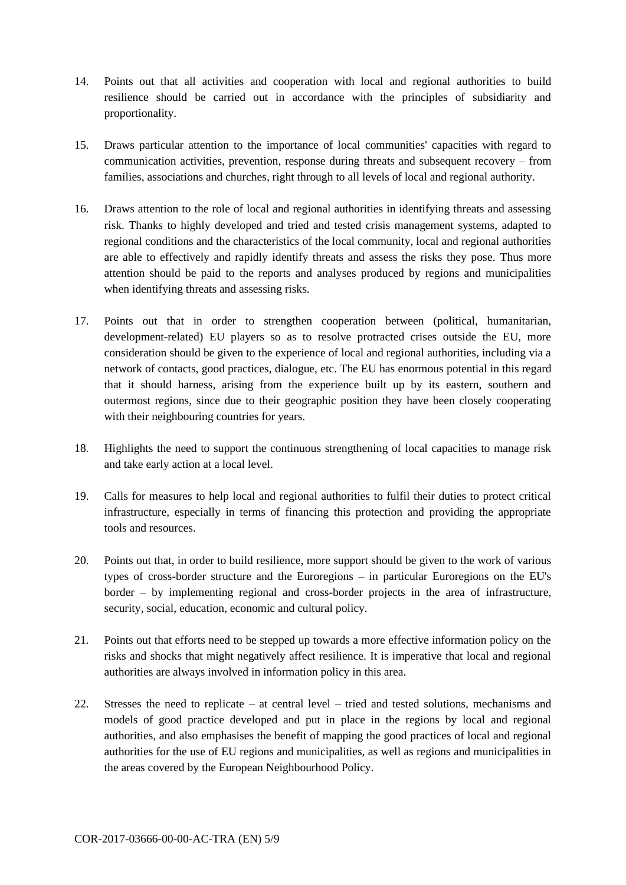- 14. Points out that all activities and cooperation with local and regional authorities to build resilience should be carried out in accordance with the principles of subsidiarity and proportionality.
- 15. Draws particular attention to the importance of local communities' capacities with regard to communication activities, prevention, response during threats and subsequent recovery – from families, associations and churches, right through to all levels of local and regional authority.
- 16. Draws attention to the role of local and regional authorities in identifying threats and assessing risk. Thanks to highly developed and tried and tested crisis management systems, adapted to regional conditions and the characteristics of the local community, local and regional authorities are able to effectively and rapidly identify threats and assess the risks they pose. Thus more attention should be paid to the reports and analyses produced by regions and municipalities when identifying threats and assessing risks.
- 17. Points out that in order to strengthen cooperation between (political, humanitarian, development-related) EU players so as to resolve protracted crises outside the EU, more consideration should be given to the experience of local and regional authorities, including via a network of contacts, good practices, dialogue, etc. The EU has enormous potential in this regard that it should harness, arising from the experience built up by its eastern, southern and outermost regions, since due to their geographic position they have been closely cooperating with their neighbouring countries for years.
- 18. Highlights the need to support the continuous strengthening of local capacities to manage risk and take early action at a local level.
- 19. Calls for measures to help local and regional authorities to fulfil their duties to protect critical infrastructure, especially in terms of financing this protection and providing the appropriate tools and resources.
- 20. Points out that, in order to build resilience, more support should be given to the work of various types of cross-border structure and the Euroregions – in particular Euroregions on the EU's border – by implementing regional and cross-border projects in the area of infrastructure, security, social, education, economic and cultural policy.
- 21. Points out that efforts need to be stepped up towards a more effective information policy on the risks and shocks that might negatively affect resilience. It is imperative that local and regional authorities are always involved in information policy in this area.
- 22. Stresses the need to replicate at central level tried and tested solutions, mechanisms and models of good practice developed and put in place in the regions by local and regional authorities, and also emphasises the benefit of mapping the good practices of local and regional authorities for the use of EU regions and municipalities, as well as regions and municipalities in the areas covered by the European Neighbourhood Policy.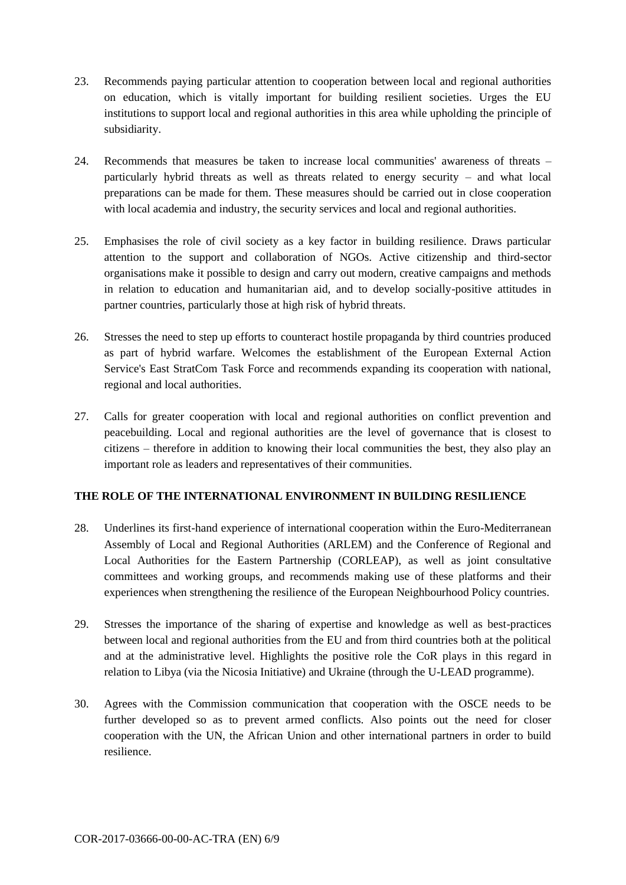- 23. Recommends paying particular attention to cooperation between local and regional authorities on education, which is vitally important for building resilient societies. Urges the EU institutions to support local and regional authorities in this area while upholding the principle of subsidiarity.
- 24. Recommends that measures be taken to increase local communities' awareness of threats particularly hybrid threats as well as threats related to energy security – and what local preparations can be made for them. These measures should be carried out in close cooperation with local academia and industry, the security services and local and regional authorities.
- 25. Emphasises the role of civil society as a key factor in building resilience. Draws particular attention to the support and collaboration of NGOs. Active citizenship and third-sector organisations make it possible to design and carry out modern, creative campaigns and methods in relation to education and humanitarian aid, and to develop socially-positive attitudes in partner countries, particularly those at high risk of hybrid threats.
- 26. Stresses the need to step up efforts to counteract hostile propaganda by third countries produced as part of hybrid warfare. Welcomes the establishment of the European External Action Service's East StratCom Task Force and recommends expanding its cooperation with national, regional and local authorities.
- 27. Calls for greater cooperation with local and regional authorities on conflict prevention and peacebuilding. Local and regional authorities are the level of governance that is closest to citizens – therefore in addition to knowing their local communities the best, they also play an important role as leaders and representatives of their communities.

#### **THE ROLE OF THE INTERNATIONAL ENVIRONMENT IN BUILDING RESILIENCE**

- 28. Underlines its first-hand experience of international cooperation within the Euro-Mediterranean Assembly of Local and Regional Authorities (ARLEM) and the Conference of Regional and Local Authorities for the Eastern Partnership (CORLEAP), as well as joint consultative committees and working groups, and recommends making use of these platforms and their experiences when strengthening the resilience of the European Neighbourhood Policy countries.
- 29. Stresses the importance of the sharing of expertise and knowledge as well as best-practices between local and regional authorities from the EU and from third countries both at the political and at the administrative level. Highlights the positive role the CoR plays in this regard in relation to Libya (via the Nicosia Initiative) and Ukraine (through the U-LEAD programme).
- 30. Agrees with the Commission communication that cooperation with the OSCE needs to be further developed so as to prevent armed conflicts. Also points out the need for closer cooperation with the UN, the African Union and other international partners in order to build resilience.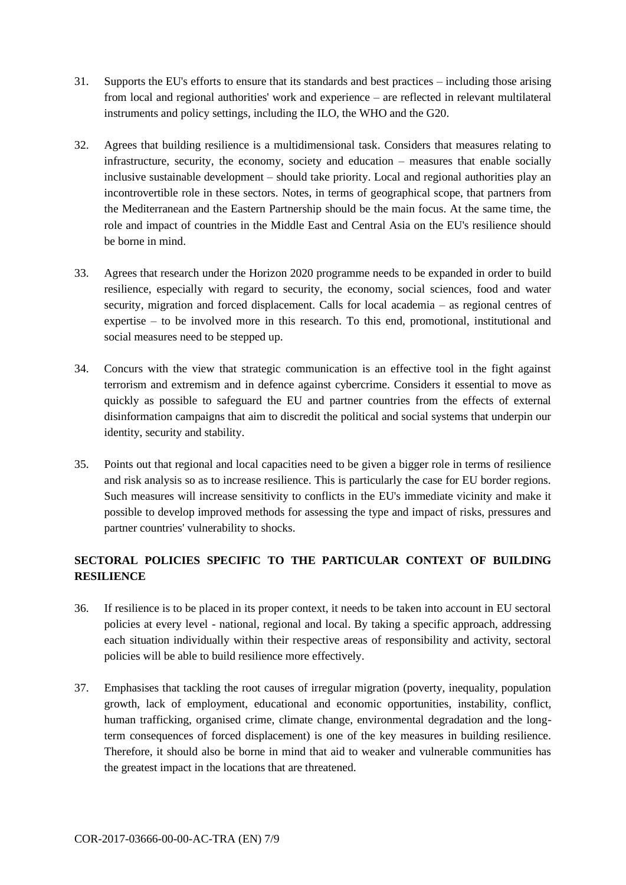- 31. Supports the EU's efforts to ensure that its standards and best practices including those arising from local and regional authorities' work and experience – are reflected in relevant multilateral instruments and policy settings, including the ILO, the WHO and the G20.
- 32. Agrees that building resilience is a multidimensional task. Considers that measures relating to infrastructure, security, the economy, society and education – measures that enable socially inclusive sustainable development – should take priority. Local and regional authorities play an incontrovertible role in these sectors. Notes, in terms of geographical scope, that partners from the Mediterranean and the Eastern Partnership should be the main focus. At the same time, the role and impact of countries in the Middle East and Central Asia on the EU's resilience should be borne in mind.
- 33. Agrees that research under the Horizon 2020 programme needs to be expanded in order to build resilience, especially with regard to security, the economy, social sciences, food and water security, migration and forced displacement. Calls for local academia – as regional centres of expertise – to be involved more in this research. To this end, promotional, institutional and social measures need to be stepped up.
- 34. Concurs with the view that strategic communication is an effective tool in the fight against terrorism and extremism and in defence against cybercrime. Considers it essential to move as quickly as possible to safeguard the EU and partner countries from the effects of external disinformation campaigns that aim to discredit the political and social systems that underpin our identity, security and stability.
- 35. Points out that regional and local capacities need to be given a bigger role in terms of resilience and risk analysis so as to increase resilience. This is particularly the case for EU border regions. Such measures will increase sensitivity to conflicts in the EU's immediate vicinity and make it possible to develop improved methods for assessing the type and impact of risks, pressures and partner countries' vulnerability to shocks.

### **SECTORAL POLICIES SPECIFIC TO THE PARTICULAR CONTEXT OF BUILDING RESILIENCE**

- 36. If resilience is to be placed in its proper context, it needs to be taken into account in EU sectoral policies at every level - national, regional and local. By taking a specific approach, addressing each situation individually within their respective areas of responsibility and activity, sectoral policies will be able to build resilience more effectively.
- 37. Emphasises that tackling the root causes of irregular migration (poverty, inequality, population growth, lack of employment, educational and economic opportunities, instability, conflict, human trafficking, organised crime, climate change, environmental degradation and the longterm consequences of forced displacement) is one of the key measures in building resilience. Therefore, it should also be borne in mind that aid to weaker and vulnerable communities has the greatest impact in the locations that are threatened.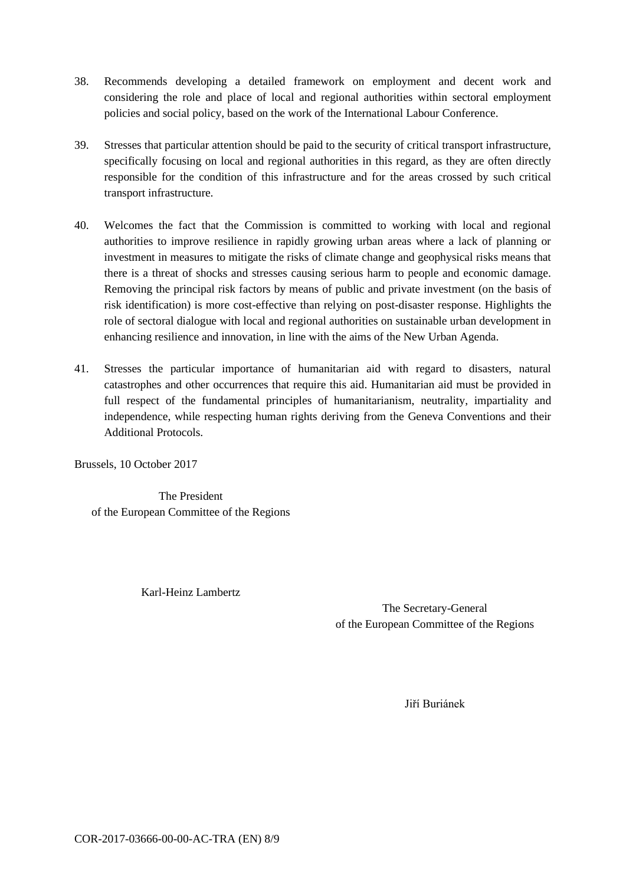- 38. Recommends developing a detailed framework on employment and decent work and considering the role and place of local and regional authorities within sectoral employment policies and social policy, based on the work of the International Labour Conference.
- 39. Stresses that particular attention should be paid to the security of critical transport infrastructure, specifically focusing on local and regional authorities in this regard, as they are often directly responsible for the condition of this infrastructure and for the areas crossed by such critical transport infrastructure.
- 40. Welcomes the fact that the Commission is committed to working with local and regional authorities to improve resilience in rapidly growing urban areas where a lack of planning or investment in measures to mitigate the risks of climate change and geophysical risks means that there is a threat of shocks and stresses causing serious harm to people and economic damage. Removing the principal risk factors by means of public and private investment (on the basis of risk identification) is more cost-effective than relying on post-disaster response. Highlights the role of sectoral dialogue with local and regional authorities on sustainable urban development in enhancing resilience and innovation, in line with the aims of the New Urban Agenda.
- 41. Stresses the particular importance of humanitarian aid with regard to disasters, natural catastrophes and other occurrences that require this aid. Humanitarian aid must be provided in full respect of the fundamental principles of humanitarianism, neutrality, impartiality and independence, while respecting human rights deriving from the Geneva Conventions and their Additional Protocols.

Brussels, 10 October 2017

The President of the European Committee of the Regions

Karl-Heinz Lambertz

The Secretary-General of the European Committee of the Regions

Jiří Buriánek